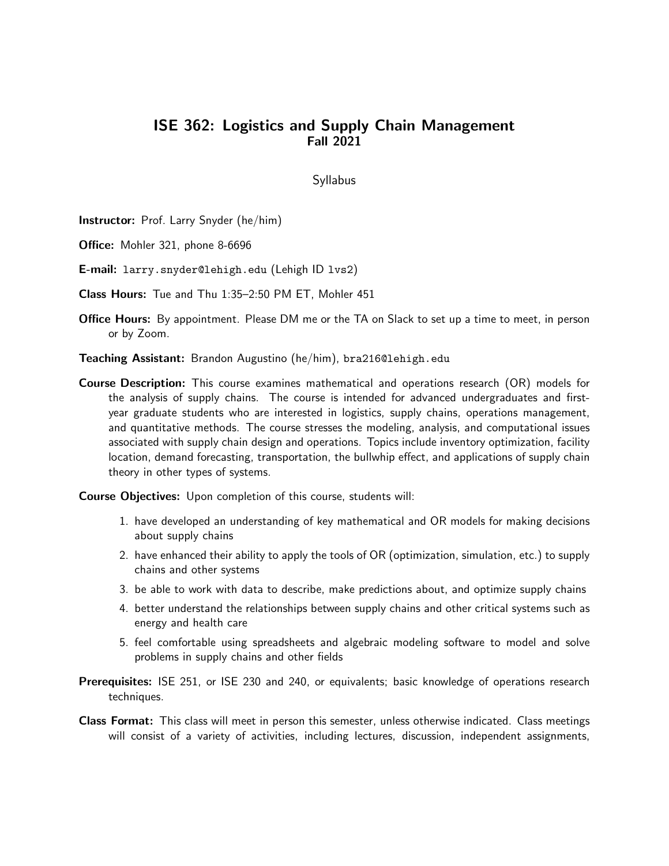## ISE 362: Logistics and Supply Chain Management Fall 2021

## **Syllabus**

Instructor: Prof. Larry Snyder (he/him)

Office: Mohler 321, phone 8-6696

E-mail: larry.snyder@lehigh.edu (Lehigh ID lvs2)

Class Hours: Tue and Thu 1:35–2:50 PM ET, Mohler 451

**Office Hours:** By appointment. Please DM me or the TA on Slack to set up a time to meet, in person or by Zoom.

Teaching Assistant: Brandon Augustino (he/him), bra216@lehigh.edu

**Course Description:** This course examines mathematical and operations research (OR) models for the analysis of supply chains. The course is intended for advanced undergraduates and firstyear graduate students who are interested in logistics, supply chains, operations management, and quantitative methods. The course stresses the modeling, analysis, and computational issues associated with supply chain design and operations. Topics include inventory optimization, facility location, demand forecasting, transportation, the bullwhip effect, and applications of supply chain theory in other types of systems.

Course Objectives: Upon completion of this course, students will:

- 1. have developed an understanding of key mathematical and OR models for making decisions about supply chains
- 2. have enhanced their ability to apply the tools of OR (optimization, simulation, etc.) to supply chains and other systems
- 3. be able to work with data to describe, make predictions about, and optimize supply chains
- 4. better understand the relationships between supply chains and other critical systems such as energy and health care
- 5. feel comfortable using spreadsheets and algebraic modeling software to model and solve problems in supply chains and other fields
- Prerequisites: ISE 251, or ISE 230 and 240, or equivalents; basic knowledge of operations research techniques.
- Class Format: This class will meet in person this semester, unless otherwise indicated. Class meetings will consist of a variety of activities, including lectures, discussion, independent assignments,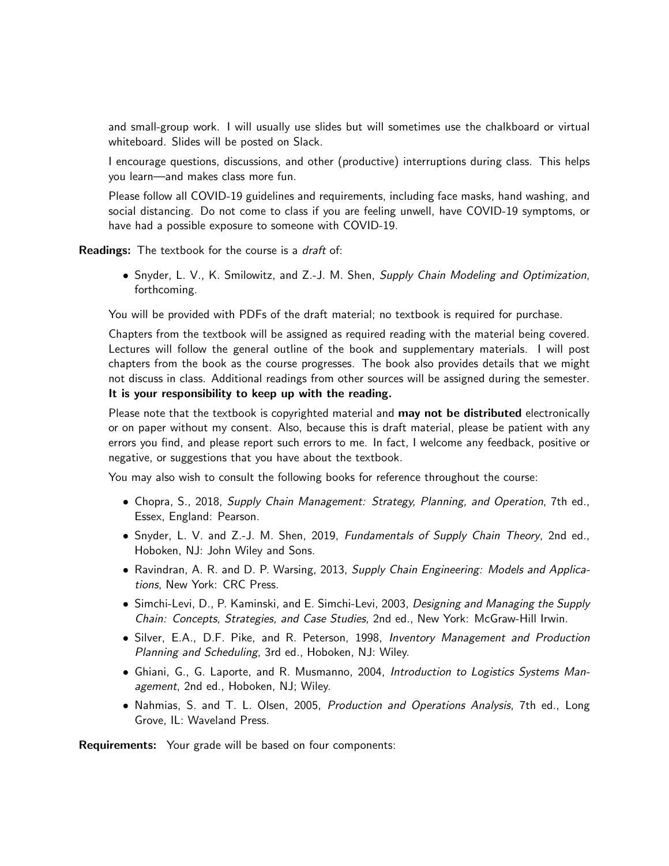and small-group work. I will usually use slides but will sometimes use the chalkboard or virtual whiteboard. Slides will be posted on Slack.

I encourage questions, discussions, and other (productive) interruptions during class. This helps you learn—and makes class more fun.

Please follow all COVID-19 guidelines and requirements, including face masks, hand washing, and social distancing. Do not come to class if you are feeling unwell, have COVID-19 symptoms, or have had a possible exposure to someone with COVID-19.

**Readings:** The textbook for the course is a *draft* of:

• Snyder, L. V., K. Smilowitz, and Z.-J. M. Shen, Supply Chain Modeling and Optimization, forthcoming.

You will be provided with PDFs of the draft material; no textbook is required for purchase.

Chapters from the textbook will be assigned as required reading with the material being covered. Lectures will follow the general outline of the book and supplementary materials. I will post chapters from the book as the course progresses. The book also provides details that we might not discuss in class. Additional readings from other sources will be assigned during the semester. It is your responsibility to keep up with the reading.

Please note that the textbook is copyrighted material and may not be distributed electronically or on paper without my consent. Also, because this is draft material, please be patient with any errors you find, and please report such errors to me. In fact, I welcome any feedback, positive or negative, or suggestions that you have about the textbook.

You may also wish to consult the following books for reference throughout the course:

- Chopra, S., 2018, Supply Chain Management: Strategy, Planning, and Operation, 7th ed., Essex, England: Pearson.
- Snyder, L. V. and Z.-J. M. Shen, 2019, Fundamentals of Supply Chain Theory, 2nd ed., Hoboken, NJ: John Wiley and Sons.
- Ravindran, A. R. and D. P. Warsing, 2013, Supply Chain Engineering: Models and Applications, New York: CRC Press.
- Simchi-Levi, D., P. Kaminski, and E. Simchi-Levi, 2003, Designing and Managing the Supply Chain: Concepts, Strategies, and Case Studies, 2nd ed., New York: McGraw-Hill Irwin.
- Silver, E.A., D.F. Pike, and R. Peterson, 1998, Inventory Management and Production Planning and Scheduling, 3rd ed., Hoboken, NJ: Wiley.
- Ghiani, G., G. Laporte, and R. Musmanno, 2004, Introduction to Logistics Systems Management, 2nd ed., Hoboken, NJ; Wiley.
- Nahmias, S. and T. L. Olsen, 2005, Production and Operations Analysis, 7th ed., Long Grove, IL: Waveland Press.

Requirements: Your grade will be based on four components: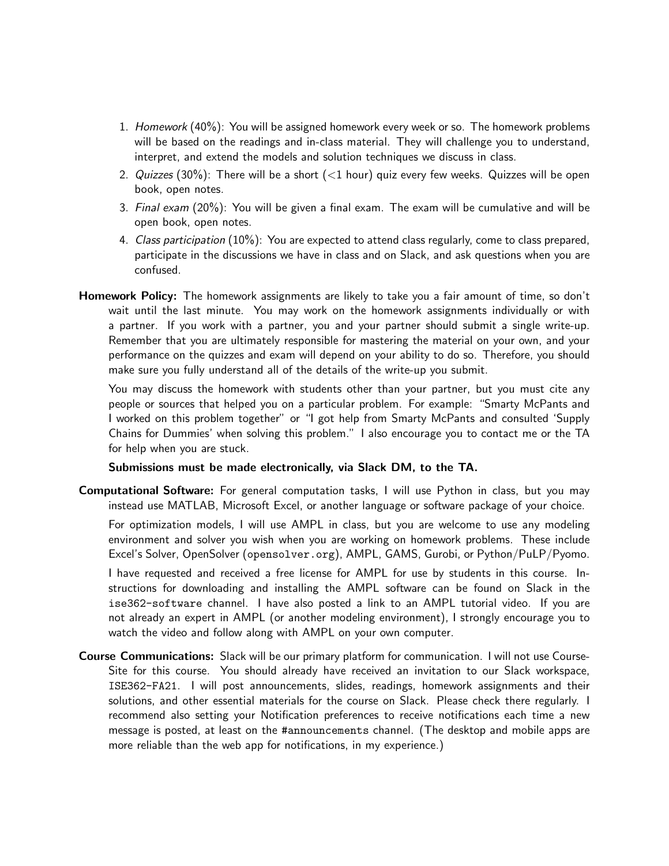- 1. Homework (40%): You will be assigned homework every week or so. The homework problems will be based on the readings and in-class material. They will challenge you to understand, interpret, and extend the models and solution techniques we discuss in class.
- 2. Quizzes (30%): There will be a short  $(<1$  hour) quiz every few weeks. Quizzes will be open book, open notes.
- 3. Final exam (20%): You will be given a final exam. The exam will be cumulative and will be open book, open notes.
- 4. Class participation (10%): You are expected to attend class regularly, come to class prepared, participate in the discussions we have in class and on Slack, and ask questions when you are confused.
- Homework Policy: The homework assignments are likely to take you a fair amount of time, so don't wait until the last minute. You may work on the homework assignments individually or with a partner. If you work with a partner, you and your partner should submit a single write-up. Remember that you are ultimately responsible for mastering the material on your own, and your performance on the quizzes and exam will depend on your ability to do so. Therefore, you should make sure you fully understand all of the details of the write-up you submit.

You may discuss the homework with students other than your partner, but you must cite any people or sources that helped you on a particular problem. For example: "Smarty McPants and I worked on this problem together" or "I got help from Smarty McPants and consulted 'Supply Chains for Dummies' when solving this problem." I also encourage you to contact me or the TA for help when you are stuck.

## Submissions must be made electronically, via Slack DM, to the TA.

Computational Software: For general computation tasks, I will use Python in class, but you may instead use MATLAB, Microsoft Excel, or another language or software package of your choice.

For optimization models, I will use AMPL in class, but you are welcome to use any modeling environment and solver you wish when you are working on homework problems. These include Excel's Solver, OpenSolver (opensolver.org), AMPL, GAMS, Gurobi, or Python/PuLP/Pyomo.

I have requested and received a free license for AMPL for use by students in this course. Instructions for downloading and installing the AMPL software can be found on Slack in the ise362-software channel. I have also posted a link to an AMPL tutorial video. If you are not already an expert in AMPL (or another modeling environment), I strongly encourage you to watch the video and follow along with AMPL on your own computer.

Course Communications: Slack will be our primary platform for communication. I will not use Course-Site for this course. You should already have received an invitation to our Slack workspace, ISE362-FA21. I will post announcements, slides, readings, homework assignments and their solutions, and other essential materials for the course on Slack. Please check there regularly. I recommend also setting your Notification preferences to receive notifications each time a new message is posted, at least on the #announcements channel. (The desktop and mobile apps are more reliable than the web app for notifications, in my experience.)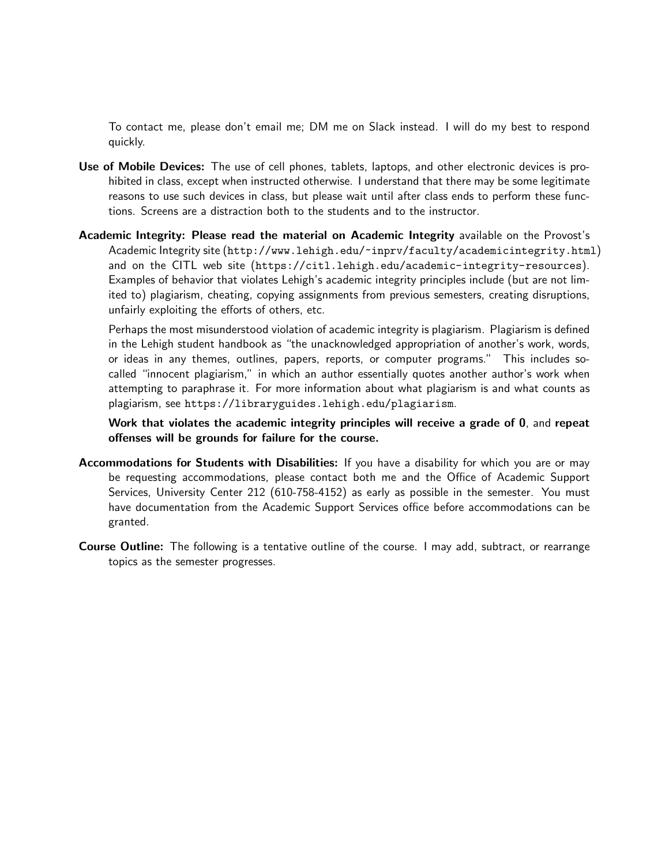To contact me, please don't email me; DM me on Slack instead. I will do my best to respond quickly.

- Use of Mobile Devices: The use of cell phones, tablets, laptops, and other electronic devices is prohibited in class, except when instructed otherwise. I understand that there may be some legitimate reasons to use such devices in class, but please wait until after class ends to perform these functions. Screens are a distraction both to the students and to the instructor.
- Academic Integrity: Please read the material on Academic Integrity available on the Provost's Academic Integrity site (http://www.lehigh.edu/~inprv/faculty/academicintegrity.html) and on the CITL web site (https://citl.lehigh.edu/academic-integrity-resources). Examples of behavior that violates Lehigh's academic integrity principles include (but are not limited to) plagiarism, cheating, copying assignments from previous semesters, creating disruptions, unfairly exploiting the efforts of others, etc.

Perhaps the most misunderstood violation of academic integrity is plagiarism. Plagiarism is defined in the Lehigh student handbook as "the unacknowledged appropriation of another's work, words, or ideas in any themes, outlines, papers, reports, or computer programs." This includes socalled "innocent plagiarism," in which an author essentially quotes another author's work when attempting to paraphrase it. For more information about what plagiarism is and what counts as plagiarism, see https://libraryguides.lehigh.edu/plagiarism.

Work that violates the academic integrity principles will receive a grade of 0, and repeat offenses will be grounds for failure for the course.

- Accommodations for Students with Disabilities: If you have a disability for which you are or may be requesting accommodations, please contact both me and the Office of Academic Support Services, University Center 212 (610-758-4152) as early as possible in the semester. You must have documentation from the Academic Support Services office before accommodations can be granted.
- Course Outline: The following is a tentative outline of the course. I may add, subtract, or rearrange topics as the semester progresses.